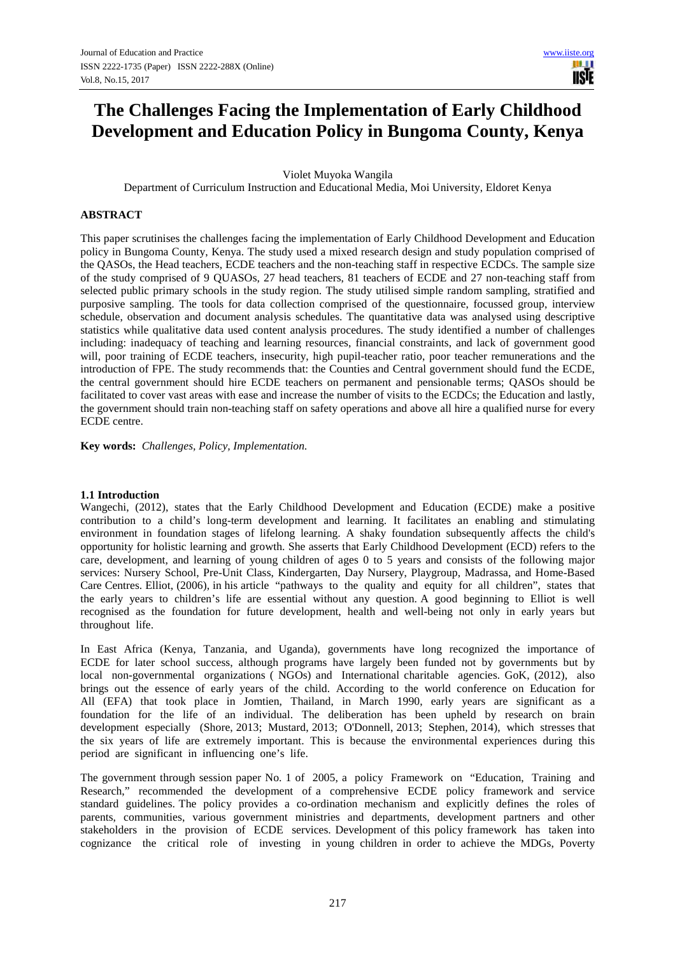# **The Challenges Facing the Implementation of Early Childhood Development and Education Policy in Bungoma County, Kenya**

Violet Muyoka Wangila

Department of Curriculum Instruction and Educational Media, Moi University, Eldoret Kenya

#### **ABSTRACT**

This paper scrutinises the challenges facing the implementation of Early Childhood Development and Education policy in Bungoma County, Kenya. The study used a mixed research design and study population comprised of the QASOs, the Head teachers, ECDE teachers and the non-teaching staff in respective ECDCs. The sample size of the study comprised of 9 QUASOs, 27 head teachers, 81 teachers of ECDE and 27 non-teaching staff from selected public primary schools in the study region. The study utilised simple random sampling, stratified and purposive sampling. The tools for data collection comprised of the questionnaire, focussed group, interview schedule, observation and document analysis schedules. The quantitative data was analysed using descriptive statistics while qualitative data used content analysis procedures. The study identified a number of challenges including: inadequacy of teaching and learning resources, financial constraints, and lack of government good will, poor training of ECDE teachers, insecurity, high pupil-teacher ratio, poor teacher remunerations and the introduction of FPE. The study recommends that: the Counties and Central government should fund the ECDE, the central government should hire ECDE teachers on permanent and pensionable terms; QASOs should be facilitated to cover vast areas with ease and increase the number of visits to the ECDCs; the Education and lastly, the government should train non-teaching staff on safety operations and above all hire a qualified nurse for every ECDE centre.

**Key words:** *Challenges, Policy, Implementation.*

## **1.1 Introduction**

Wangechi, (2012), states that the Early Childhood Development and Education (ECDE) make a positive contribution to a child's long-term development and learning. It facilitates an enabling and stimulating environment in foundation stages of lifelong learning. A shaky foundation subsequently affects the child's opportunity for holistic learning and growth. She asserts that Early Childhood Development (ECD) refers to the care, development, and learning of young children of ages 0 to 5 years and consists of the following major services: Nursery School, Pre-Unit Class, Kindergarten, Day Nursery, Playgroup, Madrassa, and Home-Based Care Centres. Elliot, (2006), in his article "pathways to the quality and equity for all children", states that the early years to children's life are essential without any question. A good beginning to Elliot is well recognised as the foundation for future development, health and well-being not only in early years but throughout life.

In East Africa (Kenya, Tanzania, and Uganda), governments have long recognized the importance of ECDE for later school success, although programs have largely been funded not by governments but by local non-governmental organizations ( NGOs) and International charitable agencies. GoK, (2012), also brings out the essence of early years of the child. According to the world conference on Education for All (EFA) that took place in Jomtien, Thailand, in March 1990, early years are significant as a foundation for the life of an individual. The deliberation has been upheld by research on brain development especially (Shore, 2013; Mustard, 2013; O'Donnell, 2013; Stephen, 2014), which stresses that the six years of life are extremely important. This is because the environmental experiences during this period are significant in influencing one's life.

The government through session paper No. 1 of 2005, a policy Framework on "Education, Training and Research," recommended the development of a comprehensive ECDE policy framework and service standard guidelines. The policy provides a co-ordination mechanism and explicitly defines the roles of parents, communities, various government ministries and departments, development partners and other stakeholders in the provision of ECDE services. Development of this policy framework has taken into cognizance the critical role of investing in young children in order to achieve the MDGs, Poverty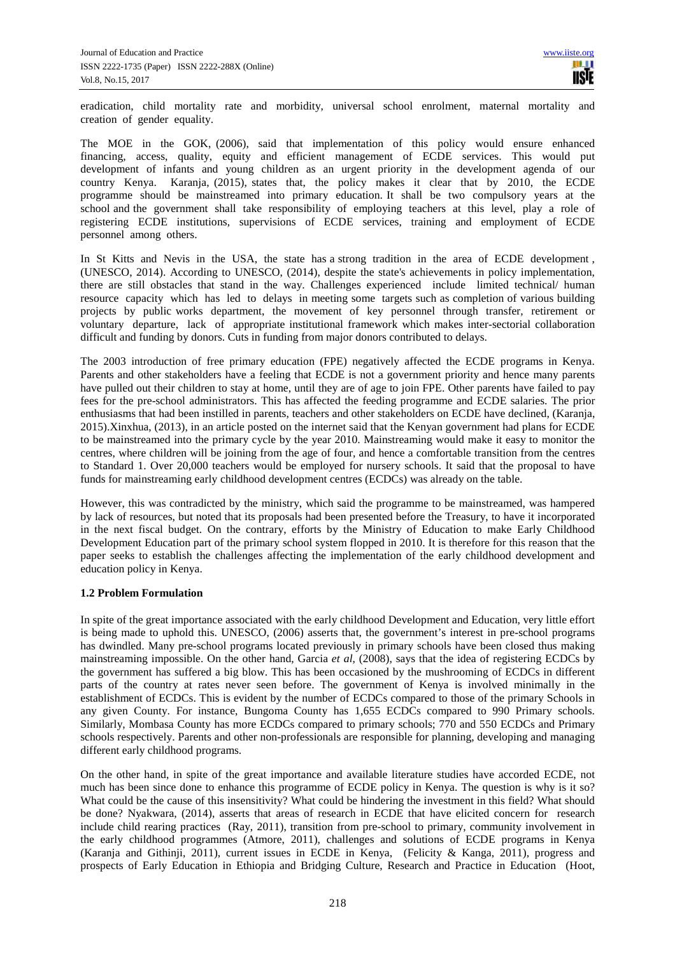eradication, child mortality rate and morbidity, universal school enrolment, maternal mortality and creation of gender equality.

The MOE in the GOK, (2006), said that implementation of this policy would ensure enhanced financing, access, quality, equity and efficient management of ECDE services. This would put development of infants and young children as an urgent priority in the development agenda of our country Kenya. Karanja, (2015), states that, the policy makes it clear that by 2010, the ECDE programme should be mainstreamed into primary education. It shall be two compulsory years at the school and the government shall take responsibility of employing teachers at this level, play a role of registering ECDE institutions, supervisions of ECDE services, training and employment of ECDE personnel among others.

In St Kitts and Nevis in the USA, the state has a strong tradition in the area of ECDE development, (UNESCO, 2014). According to UNESCO, (2014), despite the state's achievements in policy implementation, there are still obstacles that stand in the way. Challenges experienced include limited technical/ human resource capacity which has led to delays in meeting some targets such as completion of various building projects by public works department, the movement of key personnel through transfer, retirement or voluntary departure, lack of appropriate institutional framework which makes inter-sectorial collaboration difficult and funding by donors. Cuts in funding from major donors contributed to delays.

The 2003 introduction of free primary education (FPE) negatively affected the ECDE programs in Kenya. Parents and other stakeholders have a feeling that ECDE is not a government priority and hence many parents have pulled out their children to stay at home, until they are of age to join FPE. Other parents have failed to pay fees for the pre-school administrators. This has affected the feeding programme and ECDE salaries. The prior enthusiasms that had been instilled in parents, teachers and other stakeholders on ECDE have declined, (Karanja, 2015).Xinxhua, (2013), in an article posted on the internet said that the Kenyan government had plans for ECDE to be mainstreamed into the primary cycle by the year 2010. Mainstreaming would make it easy to monitor the centres, where children will be joining from the age of four, and hence a comfortable transition from the centres to Standard 1. Over 20,000 teachers would be employed for nursery schools. It said that the proposal to have funds for mainstreaming early childhood development centres (ECDCs) was already on the table.

However, this was contradicted by the ministry, which said the programme to be mainstreamed, was hampered by lack of resources, but noted that its proposals had been presented before the Treasury, to have it incorporated in the next fiscal budget. On the contrary, efforts by the Ministry of Education to make Early Childhood Development Education part of the primary school system flopped in 2010. It is therefore for this reason that the paper seeks to establish the challenges affecting the implementation of the early childhood development and education policy in Kenya.

## **1.2 Problem Formulation**

In spite of the great importance associated with the early childhood Development and Education, very little effort is being made to uphold this. UNESCO, (2006) asserts that, the government's interest in pre-school programs has dwindled. Many pre-school programs located previously in primary schools have been closed thus making mainstreaming impossible. On the other hand, Garcia *et al*, (2008), says that the idea of registering ECDCs by the government has suffered a big blow. This has been occasioned by the mushrooming of ECDCs in different parts of the country at rates never seen before. The government of Kenya is involved minimally in the establishment of ECDCs. This is evident by the number of ECDCs compared to those of the primary Schools in any given County. For instance, Bungoma County has 1,655 ECDCs compared to 990 Primary schools. Similarly, Mombasa County has more ECDCs compared to primary schools; 770 and 550 ECDCs and Primary schools respectively. Parents and other non-professionals are responsible for planning, developing and managing different early childhood programs.

On the other hand, in spite of the great importance and available literature studies have accorded ECDE, not much has been since done to enhance this programme of ECDE policy in Kenya. The question is why is it so? What could be the cause of this insensitivity? What could be hindering the investment in this field? What should be done? Nyakwara, (2014), asserts that areas of research in ECDE that have elicited concern for research include child rearing practices (Ray, 2011), transition from pre-school to primary, community involvement in the early childhood programmes (Atmore, 2011), challenges and solutions of ECDE programs in Kenya (Karanja and Githinji, 2011), current issues in ECDE in Kenya, (Felicity & Kanga, 2011), progress and prospects of Early Education in Ethiopia and Bridging Culture, Research and Practice in Education (Hoot,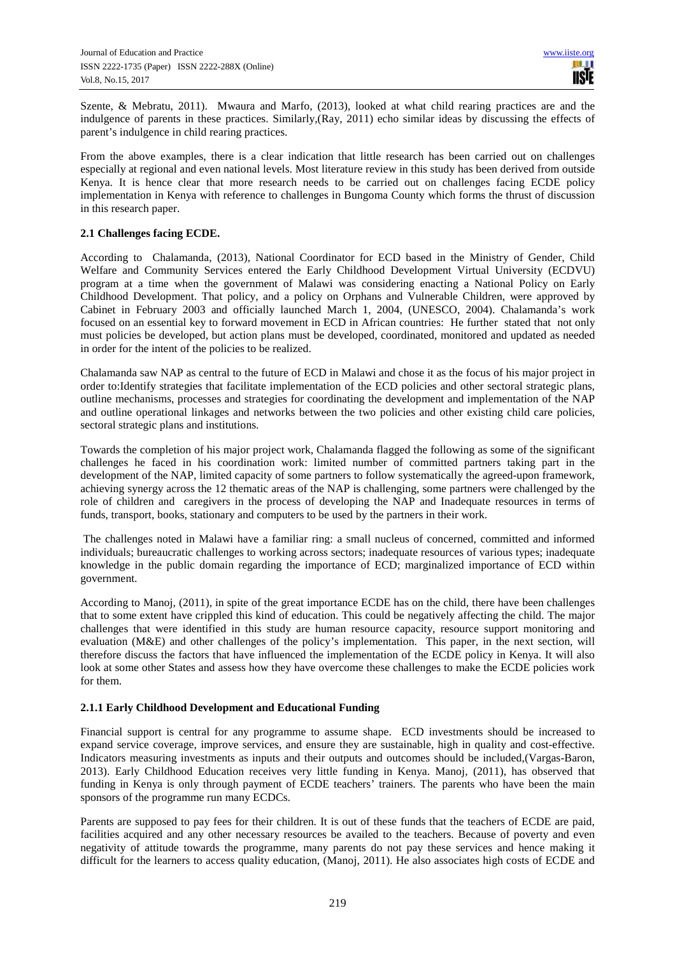Szente, & Mebratu, 2011). Mwaura and Marfo, (2013), looked at what child rearing practices are and the indulgence of parents in these practices. Similarly,(Ray, 2011) echo similar ideas by discussing the effects of parent's indulgence in child rearing practices.

From the above examples, there is a clear indication that little research has been carried out on challenges especially at regional and even national levels. Most literature review in this study has been derived from outside Kenya. It is hence clear that more research needs to be carried out on challenges facing ECDE policy implementation in Kenya with reference to challenges in Bungoma County which forms the thrust of discussion in this research paper.

## **2.1 Challenges facing ECDE.**

According to Chalamanda, (2013), National Coordinator for ECD based in the Ministry of Gender, Child Welfare and Community Services entered the Early Childhood Development Virtual University (ECDVU) program at a time when the government of Malawi was considering enacting a National Policy on Early Childhood Development. That policy, and a policy on Orphans and Vulnerable Children, were approved by Cabinet in February 2003 and officially launched March 1, 2004, (UNESCO, 2004). Chalamanda's work focused on an essential key to forward movement in ECD in African countries: He further stated that not only must policies be developed, but action plans must be developed, coordinated, monitored and updated as needed in order for the intent of the policies to be realized.

Chalamanda saw NAP as central to the future of ECD in Malawi and chose it as the focus of his major project in order to:Identify strategies that facilitate implementation of the ECD policies and other sectoral strategic plans, outline mechanisms, processes and strategies for coordinating the development and implementation of the NAP and outline operational linkages and networks between the two policies and other existing child care policies, sectoral strategic plans and institutions.

Towards the completion of his major project work, Chalamanda flagged the following as some of the significant challenges he faced in his coordination work: limited number of committed partners taking part in the development of the NAP, limited capacity of some partners to follow systematically the agreed-upon framework, achieving synergy across the 12 thematic areas of the NAP is challenging, some partners were challenged by the role of children and caregivers in the process of developing the NAP and Inadequate resources in terms of funds, transport, books, stationary and computers to be used by the partners in their work.

 The challenges noted in Malawi have a familiar ring: a small nucleus of concerned, committed and informed individuals; bureaucratic challenges to working across sectors; inadequate resources of various types; inadequate knowledge in the public domain regarding the importance of ECD; marginalized importance of ECD within government.

According to Manoj, (2011), in spite of the great importance ECDE has on the child, there have been challenges that to some extent have crippled this kind of education. This could be negatively affecting the child. The major challenges that were identified in this study are human resource capacity, resource support monitoring and evaluation (M&E) and other challenges of the policy's implementation. This paper, in the next section, will therefore discuss the factors that have influenced the implementation of the ECDE policy in Kenya. It will also look at some other States and assess how they have overcome these challenges to make the ECDE policies work for them.

## **2.1.1 Early Childhood Development and Educational Funding**

Financial support is central for any programme to assume shape. ECD investments should be increased to expand service coverage, improve services, and ensure they are sustainable, high in quality and cost-effective. Indicators measuring investments as inputs and their outputs and outcomes should be included,(Vargas-Baron, 2013). Early Childhood Education receives very little funding in Kenya. Manoj, (2011), has observed that funding in Kenya is only through payment of ECDE teachers' trainers. The parents who have been the main sponsors of the programme run many ECDCs.

Parents are supposed to pay fees for their children. It is out of these funds that the teachers of ECDE are paid, facilities acquired and any other necessary resources be availed to the teachers. Because of poverty and even negativity of attitude towards the programme, many parents do not pay these services and hence making it difficult for the learners to access quality education, (Manoj, 2011). He also associates high costs of ECDE and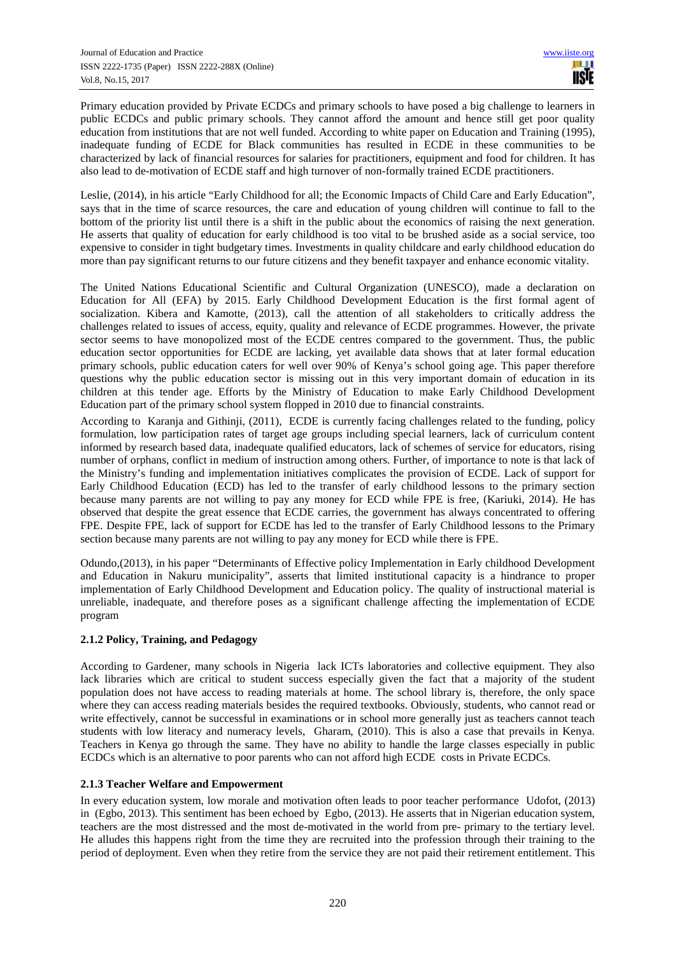Primary education provided by Private ECDCs and primary schools to have posed a big challenge to learners in public ECDCs and public primary schools. They cannot afford the amount and hence still get poor quality education from institutions that are not well funded. According to white paper on Education and Training (1995), inadequate funding of ECDE for Black communities has resulted in ECDE in these communities to be characterized by lack of financial resources for salaries for practitioners, equipment and food for children. It has also lead to de-motivation of ECDE staff and high turnover of non-formally trained ECDE practitioners.

Leslie, (2014), in his article "Early Childhood for all; the Economic Impacts of Child Care and Early Education", says that in the time of scarce resources, the care and education of young children will continue to fall to the bottom of the priority list until there is a shift in the public about the economics of raising the next generation. He asserts that quality of education for early childhood is too vital to be brushed aside as a social service, too expensive to consider in tight budgetary times. Investments in quality childcare and early childhood education do more than pay significant returns to our future citizens and they benefit taxpayer and enhance economic vitality.

The United Nations Educational Scientific and Cultural Organization (UNESCO), made a declaration on Education for All (EFA) by 2015. Early Childhood Development Education is the first formal agent of socialization. Kibera and Kamotte, (2013), call the attention of all stakeholders to critically address the challenges related to issues of access, equity, quality and relevance of ECDE programmes. However, the private sector seems to have monopolized most of the ECDE centres compared to the government. Thus, the public education sector opportunities for ECDE are lacking, yet available data shows that at later formal education primary schools, public education caters for well over 90% of Kenya's school going age. This paper therefore questions why the public education sector is missing out in this very important domain of education in its children at this tender age. Efforts by the Ministry of Education to make Early Childhood Development Education part of the primary school system flopped in 2010 due to financial constraints.

According to Karanja and Githinji, (2011), ECDE is currently facing challenges related to the funding, policy formulation, low participation rates of target age groups including special learners, lack of curriculum content informed by research based data, inadequate qualified educators, lack of schemes of service for educators, rising number of orphans, conflict in medium of instruction among others. Further, of importance to note is that lack of the Ministry's funding and implementation initiatives complicates the provision of ECDE. Lack of support for Early Childhood Education (ECD) has led to the transfer of early childhood lessons to the primary section because many parents are not willing to pay any money for ECD while FPE is free, (Kariuki, 2014). He has observed that despite the great essence that ECDE carries, the government has always concentrated to offering FPE. Despite FPE, lack of support for ECDE has led to the transfer of Early Childhood lessons to the Primary section because many parents are not willing to pay any money for ECD while there is FPE.

Odundo,(2013), in his paper "Determinants of Effective policy Implementation in Early childhood Development and Education in Nakuru municipality", asserts that limited institutional capacity is a hindrance to proper implementation of Early Childhood Development and Education policy. The quality of instructional material is unreliable, inadequate, and therefore poses as a significant challenge affecting the implementation of ECDE program

## **2.1.2 Policy, Training, and Pedagogy**

According to Gardener, many schools in Nigeria lack ICTs laboratories and collective equipment. They also lack libraries which are critical to student success especially given the fact that a majority of the student population does not have access to reading materials at home. The school library is, therefore, the only space where they can access reading materials besides the required textbooks. Obviously, students, who cannot read or write effectively, cannot be successful in examinations or in school more generally just as teachers cannot teach students with low literacy and numeracy levels, Gharam, (2010). This is also a case that prevails in Kenya. Teachers in Kenya go through the same. They have no ability to handle the large classes especially in public ECDCs which is an alternative to poor parents who can not afford high ECDE costs in Private ECDCs.

## **2.1.3 Teacher Welfare and Empowerment**

In every education system, low morale and motivation often leads to poor teacher performance Udofot, (2013) in (Egbo, 2013). This sentiment has been echoed by Egbo, (2013). He asserts that in Nigerian education system, teachers are the most distressed and the most de-motivated in the world from pre- primary to the tertiary level. He alludes this happens right from the time they are recruited into the profession through their training to the period of deployment. Even when they retire from the service they are not paid their retirement entitlement. This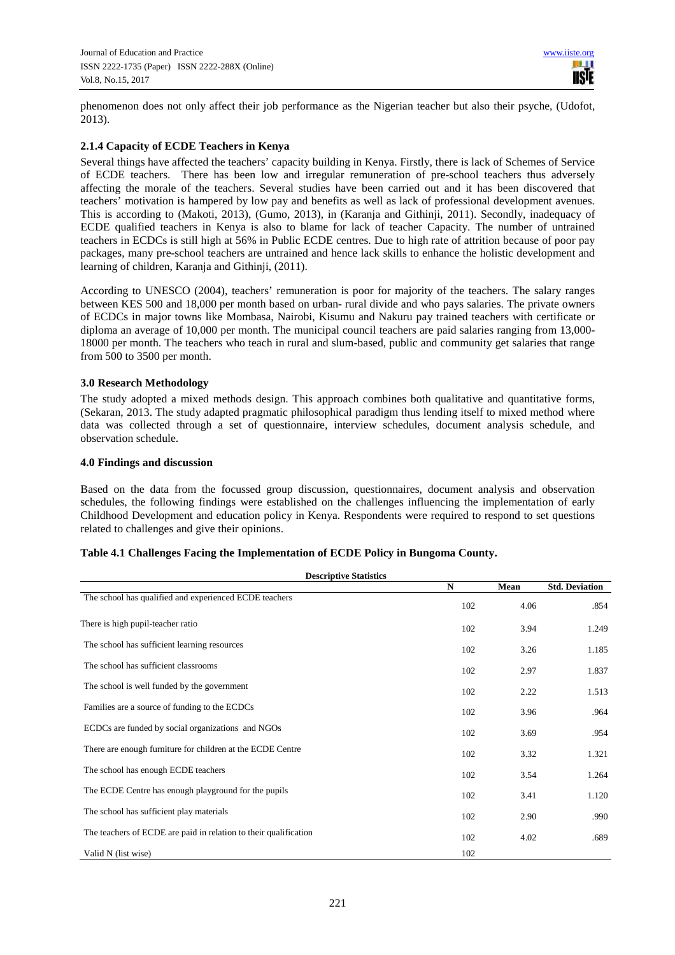phenomenon does not only affect their job performance as the Nigerian teacher but also their psyche, (Udofot, 2013).

## **2.1.4 Capacity of ECDE Teachers in Kenya**

Several things have affected the teachers' capacity building in Kenya. Firstly, there is lack of Schemes of Service of ECDE teachers. There has been low and irregular remuneration of pre-school teachers thus adversely affecting the morale of the teachers. Several studies have been carried out and it has been discovered that teachers' motivation is hampered by low pay and benefits as well as lack of professional development avenues. This is according to (Makoti, 2013), (Gumo, 2013), in (Karanja and Githinji, 2011). Secondly, inadequacy of ECDE qualified teachers in Kenya is also to blame for lack of teacher Capacity. The number of untrained teachers in ECDCs is still high at 56% in Public ECDE centres. Due to high rate of attrition because of poor pay packages, many pre-school teachers are untrained and hence lack skills to enhance the holistic development and learning of children, Karanja and Githinji, (2011).

According to UNESCO (2004), teachers' remuneration is poor for majority of the teachers. The salary ranges between KES 500 and 18,000 per month based on urban- rural divide and who pays salaries. The private owners of ECDCs in major towns like Mombasa, Nairobi, Kisumu and Nakuru pay trained teachers with certificate or diploma an average of 10,000 per month. The municipal council teachers are paid salaries ranging from 13,000-18000 per month. The teachers who teach in rural and slum-based, public and community get salaries that range from 500 to 3500 per month.

#### **3.0 Research Methodology**

The study adopted a mixed methods design. This approach combines both qualitative and quantitative forms, (Sekaran, 2013. The study adapted pragmatic philosophical paradigm thus lending itself to mixed method where data was collected through a set of questionnaire, interview schedules, document analysis schedule, and observation schedule.

#### **4.0 Findings and discussion**

Based on the data from the focussed group discussion, questionnaires, document analysis and observation schedules, the following findings were established on the challenges influencing the implementation of early Childhood Development and education policy in Kenya. Respondents were required to respond to set questions related to challenges and give their opinions.

| <b>Descriptive Statistics</b>                                    |     |      |                       |
|------------------------------------------------------------------|-----|------|-----------------------|
|                                                                  | N   | Mean | <b>Std. Deviation</b> |
| The school has qualified and experienced ECDE teachers           | 102 | 4.06 | .854                  |
| There is high pupil-teacher ratio                                | 102 | 3.94 | 1.249                 |
| The school has sufficient learning resources                     | 102 | 3.26 | 1.185                 |
| The school has sufficient classrooms                             | 102 | 2.97 | 1.837                 |
| The school is well funded by the government                      | 102 | 2.22 | 1.513                 |
| Families are a source of funding to the ECDCs                    | 102 | 3.96 | .964                  |
| ECDCs are funded by social organizations and NGOs                | 102 | 3.69 | .954                  |
| There are enough furniture for children at the ECDE Centre       | 102 | 3.32 | 1.321                 |
| The school has enough ECDE teachers                              | 102 | 3.54 | 1.264                 |
| The ECDE Centre has enough playground for the pupils             | 102 | 3.41 | 1.120                 |
| The school has sufficient play materials                         | 102 | 2.90 | .990                  |
| The teachers of ECDE are paid in relation to their qualification | 102 | 4.02 | .689                  |
| Valid N (list wise)                                              | 102 |      |                       |

#### **Table 4.1 Challenges Facing the Implementation of ECDE Policy in Bungoma County.**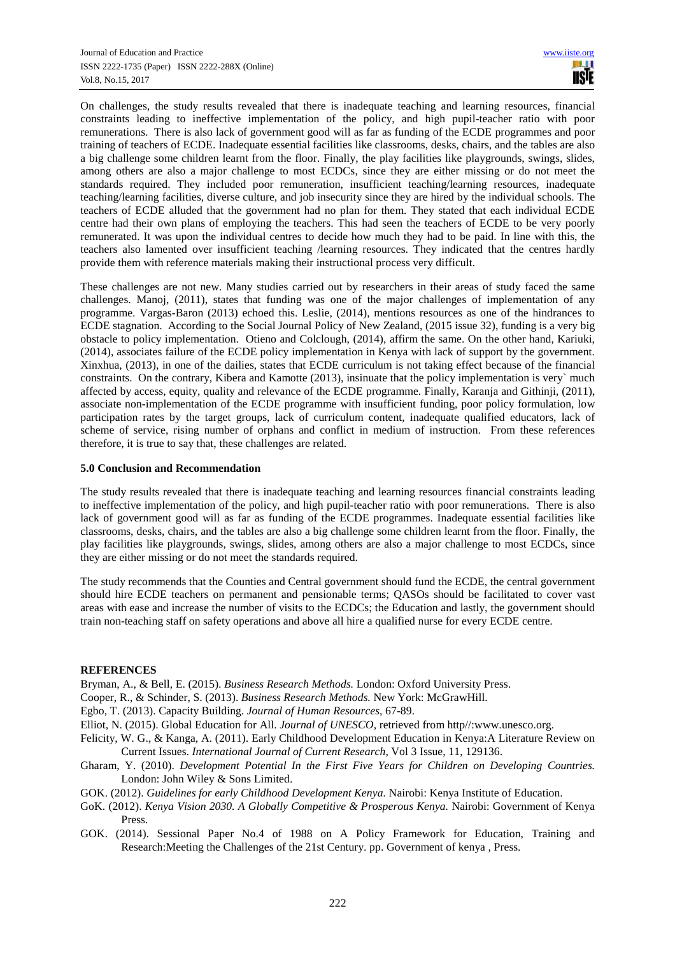On challenges, the study results revealed that there is inadequate teaching and learning resources, financial constraints leading to ineffective implementation of the policy, and high pupil-teacher ratio with poor remunerations. There is also lack of government good will as far as funding of the ECDE programmes and poor training of teachers of ECDE. Inadequate essential facilities like classrooms, desks, chairs, and the tables are also a big challenge some children learnt from the floor. Finally, the play facilities like playgrounds, swings, slides, among others are also a major challenge to most ECDCs, since they are either missing or do not meet the standards required. They included poor remuneration, insufficient teaching/learning resources, inadequate teaching/learning facilities, diverse culture, and job insecurity since they are hired by the individual schools. The teachers of ECDE alluded that the government had no plan for them. They stated that each individual ECDE centre had their own plans of employing the teachers. This had seen the teachers of ECDE to be very poorly remunerated. It was upon the individual centres to decide how much they had to be paid. In line with this, the teachers also lamented over insufficient teaching /learning resources. They indicated that the centres hardly provide them with reference materials making their instructional process very difficult.

These challenges are not new. Many studies carried out by researchers in their areas of study faced the same challenges. Manoj, (2011), states that funding was one of the major challenges of implementation of any programme. Vargas-Baron (2013) echoed this. Leslie, (2014), mentions resources as one of the hindrances to ECDE stagnation. According to the Social Journal Policy of New Zealand, (2015 issue 32), funding is a very big obstacle to policy implementation. Otieno and Colclough, (2014), affirm the same. On the other hand, Kariuki, (2014), associates failure of the ECDE policy implementation in Kenya with lack of support by the government. Xinxhua, (2013), in one of the dailies, states that ECDE curriculum is not taking effect because of the financial constraints. On the contrary, Kibera and Kamotte (2013), insinuate that the policy implementation is very` much affected by access, equity, quality and relevance of the ECDE programme. Finally, Karanja and Githinji, (2011), associate non-implementation of the ECDE programme with insufficient funding, poor policy formulation, low participation rates by the target groups, lack of curriculum content, inadequate qualified educators, lack of scheme of service, rising number of orphans and conflict in medium of instruction. From these references therefore, it is true to say that, these challenges are related.

## **5.0 Conclusion and Recommendation**

The study results revealed that there is inadequate teaching and learning resources financial constraints leading to ineffective implementation of the policy, and high pupil-teacher ratio with poor remunerations. There is also lack of government good will as far as funding of the ECDE programmes. Inadequate essential facilities like classrooms, desks, chairs, and the tables are also a big challenge some children learnt from the floor. Finally, the play facilities like playgrounds, swings, slides, among others are also a major challenge to most ECDCs, since they are either missing or do not meet the standards required.

The study recommends that the Counties and Central government should fund the ECDE, the central government should hire ECDE teachers on permanent and pensionable terms; QASOs should be facilitated to cover vast areas with ease and increase the number of visits to the ECDCs; the Education and lastly, the government should train non-teaching staff on safety operations and above all hire a qualified nurse for every ECDE centre.

#### **REFERENCES**

Bryman, A., & Bell, E. (2015). *Business Research Methods.* London: Oxford University Press.

- Cooper, R., & Schinder, S. (2013). *Business Research Methods.* New York: McGrawHill.
- Egbo, T. (2013). Capacity Building. *Journal of Human Resources*, 67-89.
- Elliot, N. (2015). Global Education for All. *Journal of UNESCO*, retrieved from http//:www.unesco.org.
- Felicity, W. G., & Kanga, A. (2011). Early Childhood Development Education in Kenya:A Literature Review on Current Issues. *International Journal of Current Research*, Vol 3 Issue, 11, 129136.
- Gharam, Y. (2010). *Development Potential In the First Five Years for Children on Developing Countries.* London: John Wiley & Sons Limited.
- GOK. (2012). *Guidelines for early Childhood Development Kenya.* Nairobi: Kenya Institute of Education.
- GoK. (2012). *Kenya Vision 2030. A Globally Competitive & Prosperous Kenya.* Nairobi: Government of Kenya Press.
- GOK. (2014). Sessional Paper No.4 of 1988 on A Policy Framework for Education, Training and Research:Meeting the Challenges of the 21st Century. pp. Government of kenya , Press.